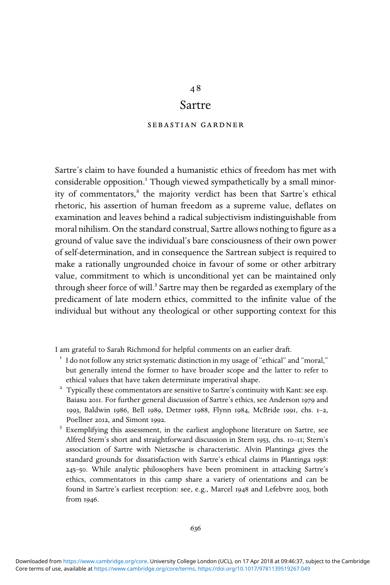# 4 8 Sartre

sebastian gardner

Sartre's claim to have founded a humanistic ethics of freedom has met with considerable opposition.<sup>I</sup> Though viewed sympathetically by a small minority of commentators,<sup>2</sup> the majority verdict has been that Sartre's ethical rhetoric, his assertion of human freedom as a supreme value, deflates on examination and leaves behind a radical subjectivism indistinguishable from moral nihilism. On the standard construal, Sartre allows nothing to figure as a ground of value save the individual's bare consciousness of their own power of self-determination, and in consequence the Sartrean subject is required to make a rationally ungrounded choice in favour of some or other arbitrary value, commitment to which is unconditional yet can be maintained only through sheer force of will.<sup>3</sup> Sartre may then be regarded as exemplary of the predicament of late modern ethics, committed to the infinite value of the individual but without any theological or other supporting context for this

I am grateful to Sarah Richmond for helpful comments on an earlier draft.

- $1$  I do not follow any strict systematic distinction in my usage of "ethical" and "moral," but generally intend the former to have broader scope and the latter to refer to ethical values that have taken determinate imperatival shape.
- $2$  Typically these commentators are sensitive to Sartre's continuity with Kant: see esp. Baiasu 2011. For further general discussion of Sartre's ethics, see Anderson 1979 and 1993, Baldwin 1986, Bell 1989, Detmer 1988, Flynn 1984, McBride 1991, chs. 1–2,
- Poellner 2012, and Simont 1992.<br><sup>3</sup> Exemplifying this assessment, in the earliest anglophone literature on Sartre, see Alfred Stern's short and straightforward discussion in Stern 1953, chs. 10–11; Stern's association of Sartre with Nietzsche is characteristic. Alvin Plantinga gives the standard grounds for dissatisfaction with Sartre's ethical claims in Plantinga 1958: 245–50. While analytic philosophers have been prominent in attacking Sartre's ethics, commentators in this camp share a variety of orientations and can be found in Sartre's earliest reception: see, e.g., Marcel 1948 and Lefebvre 2003, both from 1946.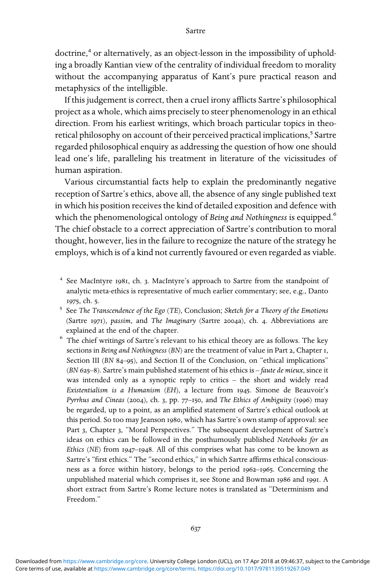doctrine,<sup>4</sup> or alternatively, as an object-lesson in the impossibility of upholding a broadly Kantian view of the centrality of individual freedom to morality without the accompanying apparatus of Kant's pure practical reason and metaphysics of the intelligible.

If this judgement is correct, then a cruel irony afflicts Sartre's philosophical project as a whole, which aims precisely to steer phenomenology in an ethical direction. From his earliest writings, which broach particular topics in theoretical philosophy on account of their perceived practical implications,<sup>5</sup> Sartre regarded philosophical enquiry as addressing the question of how one should lead one's life, paralleling his treatment in literature of the vicissitudes of human aspiration.

Various circumstantial facts help to explain the predominantly negative reception of Sartre's ethics, above all, the absence of any single published text in which his position receives the kind of detailed exposition and defence with which the phenomenological ontology of Being and Nothingness is equipped.<sup>6</sup> The chief obstacle to a correct appreciation of Sartre's contribution to moral thought, however, lies in the failure to recognize the nature of the strategy he employs, which is of a kind not currently favoured or even regarded as viable.

- <sup>4</sup> See MacIntyre <sup>1981</sup>, ch. <sup>3</sup>. MacIntyre's approach to Sartre from the standpoint of analytic meta-ethics is representative of much earlier commentary; see, e.g., Danto 1975, ch. 5. 5. 5. 5 See The Transcendence of the Ego (TE), Conclusion; Sketch for a Theory of the Emotions
- (Sartre 1971), passim, and The Imaginary (Sartre 2004a), ch. 4. Abbreviations are explained at the end of the chapter.
- $^{\rm 6}\,$  The chief writings of Sartre's relevant to his ethical theory are as follows. The key sections in Being and Nothingness (BN) are the treatment of value in Part 2, Chapter 1, Section III (BN 84-95), and Section II of the Conclusion, on "ethical implications" (BN 625–8). Sartre's main published statement of his ethics is – faute de mieux, since it was intended only as a synoptic reply to critics – the short and widely read Existentialism is a Humanism (EH), a lecture from 1945. Simone de Beauvoir's Pyrrhus and Cineas (2004), ch. 3, pp. 77–150, and The Ethics of Ambiguity (1996) may be regarded, up to a point, as an amplified statement of Sartre's ethical outlook at this period. So too may Jeanson 1980, which has Sartre's own stamp of approval: see Part 3, Chapter 3, "Moral Perspectives." The subsequent development of Sartre's ideas on ethics can be followed in the posthumously published Notebooks for an Ethics (NE) from 1947–1948. All of this comprises what has come to be known as Sartre's "first ethics." The "second ethics," in which Sartre affirms ethical consciousness as a force within history, belongs to the period 1962–1965. Concerning the unpublished material which comprises it, see Stone and Bowman 1986 and 1991. A short extract from Sartre's Rome lecture notes is translated as "Determinism and Freedom."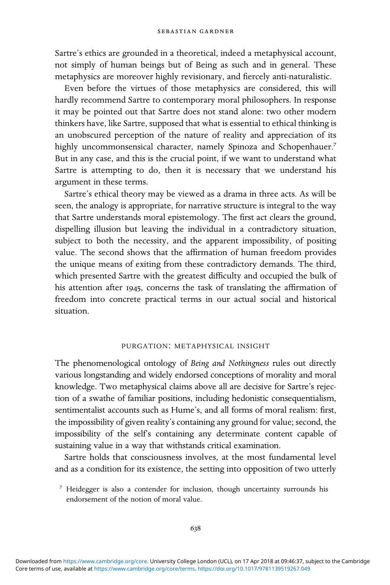Sartre's ethics are grounded in a theoretical, indeed a metaphysical account, not simply of human beings but of Being as such and in general. These metaphysics are moreover highly revisionary, and fiercely anti-naturalistic.

Even before the virtues of those metaphysics are considered, this will hardly recommend Sartre to contemporary moral philosophers. In response it may be pointed out that Sartre does not stand alone: two other modern thinkers have, like Sartre, supposed that what is essential to ethical thinking is an unobscured perception of the nature of reality and appreciation of its highly uncommonsensical character, namely Spinoza and Schopenhauer.<sup>7</sup> But in any case, and this is the crucial point, if we want to understand what Sartre is attempting to do, then it is necessary that we understand his argument in these terms.

Sartre's ethical theory may be viewed as a drama in three acts. As will be seen, the analogy is appropriate, for narrative structure is integral to the way that Sartre understands moral epistemology. The first act clears the ground, dispelling illusion but leaving the individual in a contradictory situation, subject to both the necessity, and the apparent impossibility, of positing value. The second shows that the affirmation of human freedom provides the unique means of exiting from these contradictory demands. The third, which presented Sartre with the greatest difficulty and occupied the bulk of his attention after 1945, concerns the task of translating the affirmation of freedom into concrete practical terms in our actual social and historical situation.

# PURGATION: METAPHYSICAL INSIGHT

The phenomenological ontology of Being and Nothingness rules out directly various longstanding and widely endorsed conceptions of morality and moral knowledge. Two metaphysical claims above all are decisive for Sartre's rejection of a swathe of familiar positions, including hedonistic consequentialism, sentimentalist accounts such as Hume's, and all forms of moral realism: first, the impossibility of given reality's containing any ground for value; second, the impossibility of the self's containing any determinate content capable of sustaining value in a way that withstands critical examination.

Sartre holds that consciousness involves, at the most fundamental level and as a condition for its existence, the setting into opposition of two utterly

<sup>7</sup> Heidegger is also a contender for inclusion, though uncertainty surrounds his endorsement of the notion of moral value.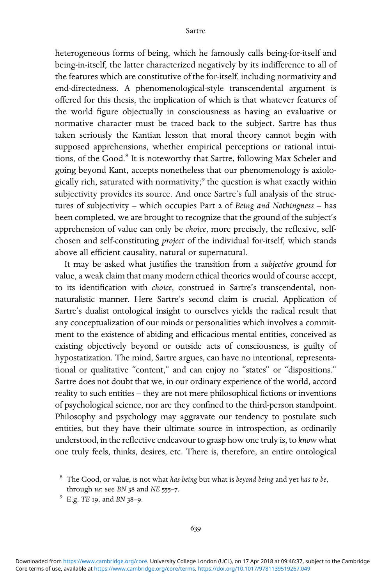heterogeneous forms of being, which he famously calls being-for-itself and being-in-itself, the latter characterized negatively by its indifference to all of the features which are constitutive of the for-itself, including normativity and end-directedness. A phenomenological-style transcendental argument is offered for this thesis, the implication of which is that whatever features of the world figure objectually in consciousness as having an evaluative or normative character must be traced back to the subject. Sartre has thus taken seriously the Kantian lesson that moral theory cannot begin with supposed apprehensions, whether empirical perceptions or rational intuitions, of the Good.<sup>8</sup> It is noteworthy that Sartre, following Max Scheler and going beyond Kant, accepts nonetheless that our phenomenology is axiologically rich, saturated with normativity; $9$  the question is what exactly within subjectivity provides its source. And once Sartre's full analysis of the structures of subjectivity – which occupies Part 2 of Being and Nothingness – has been completed, we are brought to recognize that the ground of the subject's apprehension of value can only be choice, more precisely, the reflexive, selfchosen and self-constituting project of the individual for-itself, which stands above all efficient causality, natural or supernatural.

It may be asked what justifies the transition from a subjective ground for value, a weak claim that many modern ethical theories would of course accept, to its identification with choice, construed in Sartre's transcendental, nonnaturalistic manner. Here Sartre's second claim is crucial. Application of Sartre's dualist ontological insight to ourselves yields the radical result that any conceptualization of our minds or personalities which involves a commitment to the existence of abiding and efficacious mental entities, conceived as existing objectively beyond or outside acts of consciousness, is guilty of hypostatization. The mind, Sartre argues, can have no intentional, representational or qualitative "content," and can enjoy no "states" or "dispositions." Sartre does not doubt that we, in our ordinary experience of the world, accord reality to such entities – they are not mere philosophical fictions or inventions of psychological science, nor are they confined to the third-person standpoint. Philosophy and psychology may aggravate our tendency to postulate such entities, but they have their ultimate source in introspection, as ordinarily understood, in the reflective endeavour to grasp how one truly is, to know what one truly feels, thinks, desires, etc. There is, therefore, an entire ontological

 $8<sup>8</sup>$  The Good, or value, is not what has being but what is beyond being and yet has-to-be, through *us*: see *BN* 38 and *NE* 555–7.<br><sup>9</sup> E.g. *TE* 19, and *BN* 38–9.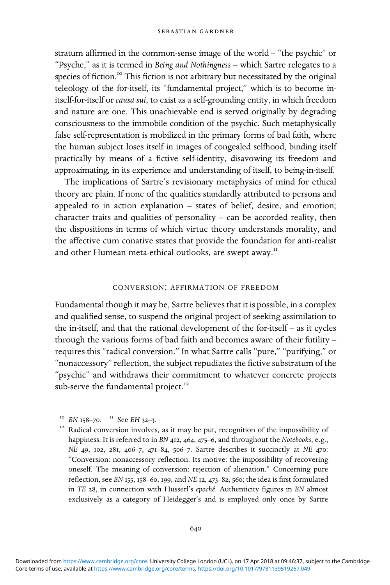stratum affirmed in the common-sense image of the world – "the psychic" or "Psyche," as it is termed in Being and Nothingness – which Sartre relegates to a species of fiction.<sup>10</sup> This fiction is not arbitrary but necessitated by the original teleology of the for-itself, its "fundamental project," which is to become initself-for-itself or causa sui, to exist as a self-grounding entity, in which freedom and nature are one. This unachievable end is served originally by degrading consciousness to the immobile condition of the psychic. Such metaphysically false self-representation is mobilized in the primary forms of bad faith, where the human subject loses itself in images of congealed selfhood, binding itself practically by means of a fictive self-identity, disavowing its freedom and approximating, in its experience and understanding of itself, to being-in-itself.

The implications of Sartre's revisionary metaphysics of mind for ethical theory are plain. If none of the qualities standardly attributed to persons and appealed to in action explanation – states of belief, desire, and emotion; character traits and qualities of personality – can be accorded reality, then the dispositions in terms of which virtue theory understands morality, and the affective cum conative states that provide the foundation for anti-realist and other Humean meta-ethical outlooks, are swept away.<sup>11</sup>

### CONVERSION: AFFIRMATION OF FREEDOM

Fundamental though it may be, Sartre believes that it is possible, in a complex and qualified sense, to suspend the original project of seeking assimilation to the in-itself, and that the rational development of the for-itself – as it cycles through the various forms of bad faith and becomes aware of their futility – requires this "radical conversion." In what Sartre calls "pure," "purifying," or "nonaccessory" reflection, the subject repudiates the fictive substratum of the "psychic" and withdraws their commitment to whatever concrete projects sub-serve the fundamental project.<sup>12</sup>

<sup>10</sup> BN 158–70. <sup>11</sup> See EH 32–3.<br><sup>12</sup> Radical conversion involves, as it may be put, recognition of the impossibility of happiness. It is referred to in BN 412, 464, 475–6, and throughout the Notebooks, e.g., NE 49, 102, 281, 406–7, 471–84, 506–7. Sartre describes it succinctly at NE 470: "Conversion: nonaccessory reflection. Its motive: the impossibility of recovering oneself. The meaning of conversion: rejection of alienation." Concerning pure reflection, see BN 155, 158–60, 199, and NE 12, 473–82, 560; the idea is first formulated in TE 28, in connection with Husserl's epochê. Authenticity figures in BN almost exclusively as a category of Heidegger's and is employed only once by Sartre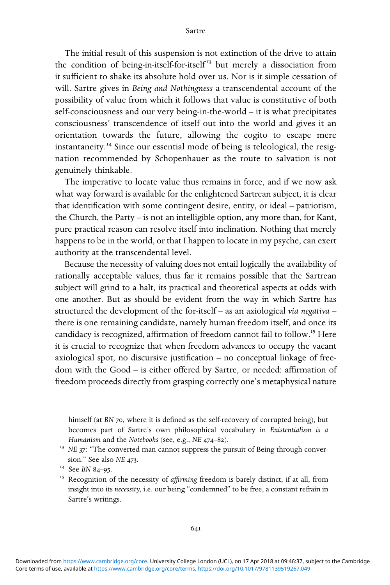The initial result of this suspension is not extinction of the drive to attain the condition of being-in-itself-for-itself<sup>13</sup> but merely a dissociation from it sufficient to shake its absolute hold over us. Nor is it simple cessation of will. Sartre gives in Being and Nothingness a transcendental account of the possibility of value from which it follows that value is constitutive of both self-consciousness and our very being-in-the-world – it is what precipitates consciousness' transcendence of itself out into the world and gives it an orientation towards the future, allowing the cogito to escape mere instantaneity.<sup>14</sup> Since our essential mode of being is teleological, the resignation recommended by Schopenhauer as the route to salvation is not genuinely thinkable.

The imperative to locate value thus remains in force, and if we now ask what way forward is available for the enlightened Sartrean subject, it is clear that identification with some contingent desire, entity, or ideal – patriotism, the Church, the Party – is not an intelligible option, any more than, for Kant, pure practical reason can resolve itself into inclination. Nothing that merely happens to be in the world, or that I happen to locate in my psyche, can exert authority at the transcendental level.

Because the necessity of valuing does not entail logically the availability of rationally acceptable values, thus far it remains possible that the Sartrean subject will grind to a halt, its practical and theoretical aspects at odds with one another. But as should be evident from the way in which Sartre has structured the development of the for-itself – as an axiological via negativa – there is one remaining candidate, namely human freedom itself, and once its candidacy is recognized, affirmation of freedom cannot fail to follow.<sup>15</sup> Here it is crucial to recognize that when freedom advances to occupy the vacant axiological spot, no discursive justification – no conceptual linkage of freedom with the Good – is either offered by Sartre, or needed: affirmation of freedom proceeds directly from grasping correctly one's metaphysical nature

himself (at BN 70, where it is defined as the self-recovery of corrupted being), but becomes part of Sartre's own philosophical vocabulary in Existentialism is a Humanism and the Notebooks (see, e.g., NE 474–82).  $^{13}$  NE 37: "The converted man cannot suppress the pursuit of Being through conver-

sion." See also NE 473.<br><sup>14</sup> See BN 84–95. 14 See BN 84–95.<br><sup>15</sup> Recognition of the necessity of *affirming* freedom is barely distinct, if at all, from insight into its necessity, i.e. our being "condemned" to be free, a constant refrain in Sartre's writings.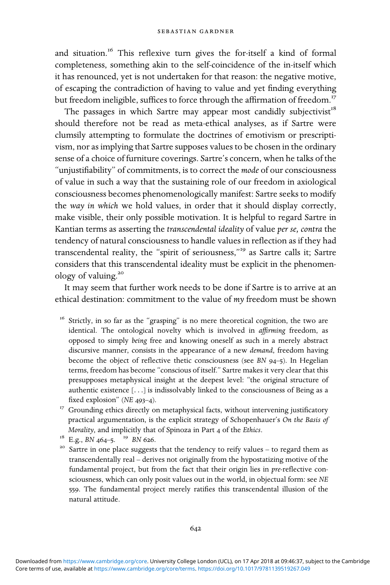and situation.<sup>16</sup> This reflexive turn gives the for-itself a kind of formal completeness, something akin to the self-coincidence of the in-itself which it has renounced, yet is not undertaken for that reason: the negative motive, of escaping the contradiction of having to value and yet finding everything but freedom ineligible, suffices to force through the affirmation of freedom.<sup>17</sup>

The passages in which Sartre may appear most candidly subjectivist<sup>18</sup> should therefore not be read as meta-ethical analyses, as if Sartre were clumsily attempting to formulate the doctrines of emotivism or prescriptivism, nor as implying that Sartre supposes values to be chosen in the ordinary sense of a choice of furniture coverings. Sartre's concern, when he talks of the "unjustifiability" of commitments, is to correct the mode of our consciousness of value in such a way that the sustaining role of our freedom in axiological consciousness becomes phenomenologically manifest: Sartre seeks to modify the way in which we hold values, in order that it should display correctly, make visible, their only possible motivation. It is helpful to regard Sartre in Kantian terms as asserting the transcendental ideality of value per se, contra the tendency of natural consciousness to handle values in reflection as if they had transcendental reality, the "spirit of seriousness," <sup>19</sup> as Sartre calls it; Sartre considers that this transcendental ideality must be explicit in the phenomenology of valuing.<sup>20</sup>

It may seem that further work needs to be done if Sartre is to arrive at an ethical destination: commitment to the value of my freedom must be shown

- <sup>16</sup> Strictly, in so far as the "grasping" is no mere theoretical cognition, the two are identical. The ontological novelty which is involved in affirming freedom, as opposed to simply being free and knowing oneself as such in a merely abstract discursive manner, consists in the appearance of a new demand, freedom having become the object of reflective thetic consciousness (see BN 94–5). In Hegelian terms, freedom has become "conscious of itself." Sartre makes it very clear that this presupposes metaphysical insight at the deepest level: "the original structure of authentic existence [...] is indissolvably linked to the consciousness of Being as a
- fixed explosion" (NE 493–4). 17 Grounding ethics directly on metaphysical facts, without intervening justificatory practical argumentation, is the explicit strategy of Schopenhauer's On the Basis of Morality, and implicitly that of Spinoza in Part 4 of the Ethics.<br><sup>18</sup> E.g., BN 464–5. <sup>19</sup> BN 626.<br><sup>20</sup> Sartre in one place suggests that the tendency to reify values – to regard them as

transcendentally real – derives not originally from the hypostatizing motive of the fundamental project, but from the fact that their origin lies in pre-reflective consciousness, which can only posit values out in the world, in objectual form: see NE 559. The fundamental project merely ratifies this transcendental illusion of the natural attitude.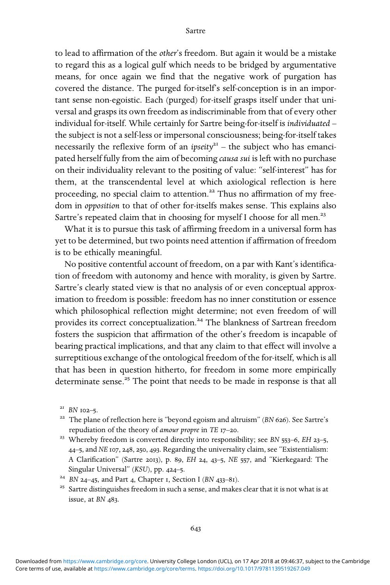to lead to affirmation of the other's freedom. But again it would be a mistake to regard this as a logical gulf which needs to be bridged by argumentative means, for once again we find that the negative work of purgation has covered the distance. The purged for-itself's self-conception is in an important sense non-egoistic. Each (purged) for-itself grasps itself under that universal and grasps its own freedom as indiscriminable from that of every other individual for-itself. While certainly for Sartre being-for-itself is individuated – the subject is not a self-less or impersonal consciousness; being-for-itself takes necessarily the reflexive form of an *ipseity*<sup>21</sup> – the subject who has emancipated herself fully from the aim of becoming causa sui is left with no purchase on their individuality relevant to the positing of value: "self-interest" has for them, at the transcendental level at which axiological reflection is here proceeding, no special claim to attention.<sup>22</sup> Thus no affirmation of my freedom in opposition to that of other for-itselfs makes sense. This explains also Sartre's repeated claim that in choosing for myself I choose for all men.<sup>23</sup>

What it is to pursue this task of affirming freedom in a universal form has yet to be determined, but two points need attention if affirmation of freedom is to be ethically meaningful.

No positive contentful account of freedom, on a par with Kant's identification of freedom with autonomy and hence with morality, is given by Sartre. Sartre's clearly stated view is that no analysis of or even conceptual approximation to freedom is possible: freedom has no inner constitution or essence which philosophical reflection might determine; not even freedom of will provides its correct conceptualization.<sup>24</sup> The blankness of Sartrean freedom fosters the suspicion that affirmation of the other's freedom is incapable of bearing practical implications, and that any claim to that effect will involve a surreptitious exchange of the ontological freedom of the for-itself, which is all that has been in question hitherto, for freedom in some more empirically determinate sense.<sup>25</sup> The point that needs to be made in response is that all

- <sup>21</sup> BN 102–5.<br><sup>22</sup> The plane of reflection here is "beyond egoism and altruism" (BN 626). See Sartre's repudiation of the theory of amour propre in TE 17–20.<br><sup>23</sup> Whereby freedom is converted directly into responsibility; see BN 553–6, EH 23–5,
- 44–5, and NE 107, 248, 250, 493. Regarding the universality claim, see "Existentialism: A Clarification" (Sartre 2013), p. 89, EH 24, 43–5, NE 557, and "Kierkegaard: The Singular Universal" (KSU), pp. 424–5.<br><sup>24</sup> BN 24–45, and Part 4, Chapter 1, Section I (BN 433–81).<br><sup>25</sup> Sartre distinguishes freedom in such a sense, and makes clear that it is not what is at
- 
- issue, at BN 483.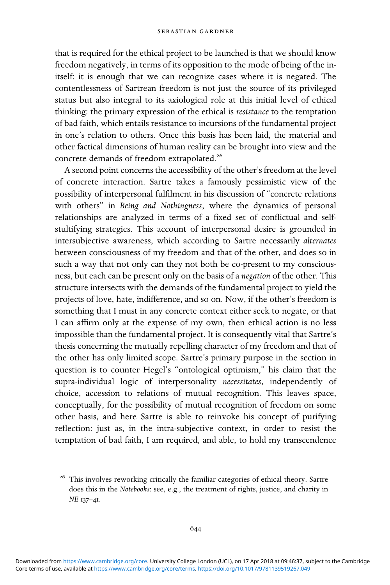that is required for the ethical project to be launched is that we should know freedom negatively, in terms of its opposition to the mode of being of the initself: it is enough that we can recognize cases where it is negated. The contentlessness of Sartrean freedom is not just the source of its privileged status but also integral to its axiological role at this initial level of ethical thinking: the primary expression of the ethical is resistance to the temptation of bad faith, which entails resistance to incursions of the fundamental project in one's relation to others. Once this basis has been laid, the material and other factical dimensions of human reality can be brought into view and the concrete demands of freedom extrapolated.<sup>26</sup>

A second point concerns the accessibility of the other's freedom at the level of concrete interaction. Sartre takes a famously pessimistic view of the possibility of interpersonal fulfilment in his discussion of "concrete relations with others" in Being and Nothingness, where the dynamics of personal relationships are analyzed in terms of a fixed set of conflictual and selfstultifying strategies. This account of interpersonal desire is grounded in intersubjective awareness, which according to Sartre necessarily alternates between consciousness of my freedom and that of the other, and does so in such a way that not only can they not both be co-present to my consciousness, but each can be present only on the basis of a negation of the other. This structure intersects with the demands of the fundamental project to yield the projects of love, hate, indifference, and so on. Now, if the other's freedom is something that I must in any concrete context either seek to negate, or that I can affirm only at the expense of my own, then ethical action is no less impossible than the fundamental project. It is consequently vital that Sartre's thesis concerning the mutually repelling character of my freedom and that of the other has only limited scope. Sartre's primary purpose in the section in question is to counter Hegel's "ontological optimism," his claim that the supra-individual logic of interpersonality necessitates, independently of choice, accession to relations of mutual recognition. This leaves space, conceptually, for the possibility of mutual recognition of freedom on some other basis, and here Sartre is able to reinvoke his concept of purifying reflection: just as, in the intra-subjective context, in order to resist the temptation of bad faith, I am required, and able, to hold my transcendence

<sup>&</sup>lt;sup>26</sup> This involves reworking critically the familiar categories of ethical theory. Sartre does this in the Notebooks: see, e.g., the treatment of rights, justice, and charity in NE 137–41.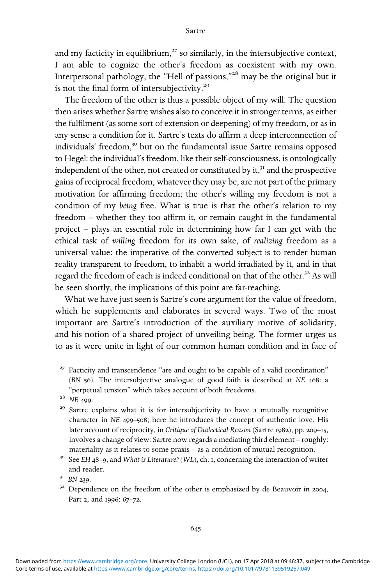and my facticity in equilibrium, $^{27}$  so similarly, in the intersubjective context, I am able to cognize the other's freedom as coexistent with my own. Interpersonal pathology, the "Hell of passions," <sup>28</sup> may be the original but it is not the final form of intersubjectivity.<sup>29</sup>

The freedom of the other is thus a possible object of my will. The question then arises whether Sartre wishes also to conceive it in stronger terms, as either the fulfilment (as some sort of extension or deepening) of my freedom, or as in any sense a condition for it. Sartre's texts do affirm a deep interconnection of individuals' freedom,<sup>30</sup> but on the fundamental issue Sartre remains opposed to Hegel: the individual's freedom, like their self-consciousness, is ontologically independent of the other, not created or constituted by it, $31$  and the prospective gains of reciprocal freedom, whatever they may be, are not part of the primary motivation for affirming freedom; the other's willing my freedom is not a condition of my being free. What is true is that the other's relation to my freedom – whether they too affirm it, or remain caught in the fundamental project – plays an essential role in determining how far I can get with the ethical task of willing freedom for its own sake, of realizing freedom as a universal value: the imperative of the converted subject is to render human reality transparent to freedom, to inhabit a world irradiated by it, and in that regard the freedom of each is indeed conditional on that of the other.<sup>32</sup> As will be seen shortly, the implications of this point are far-reaching.

What we have just seen is Sartre's core argument for the value of freedom, which he supplements and elaborates in several ways. Two of the most important are Sartre's introduction of the auxiliary motive of solidarity, and his notion of a shared project of unveiling being. The former urges us to as it were unite in light of our common human condition and in face of

 $27$  Facticity and transcendence "are and ought to be capable of a valid coordination" (BN 56). The intersubjective analogue of good faith is described at NE 468: a

- "perpetual tension" which takes account of both freedoms.<br><sup>28</sup> NE 499. <br><sup>29</sup> Sartre explains what it is for intersubjectivity to have a mutually recognitive character in NE 499–508; here he introduces the concept of authentic love. His later account of reciprocity, in Critique of Dialectical Reason (Sartre 1982), pp. 209–15, involves a change of view: Sartre now regards a mediating third element – roughly:
- materiality as it relates to some praxis as a condition of mutual recognition.<br><sup>30</sup> See EH 48–9, and What is Literature? (WL), ch. 1, concerning the interaction of writer and reader.<br><sup>31</sup> BN 239. 32 Dependence on the freedom of the other is emphasized by de Beauvoir in 2004,

Part 2, and 1996: 67–72.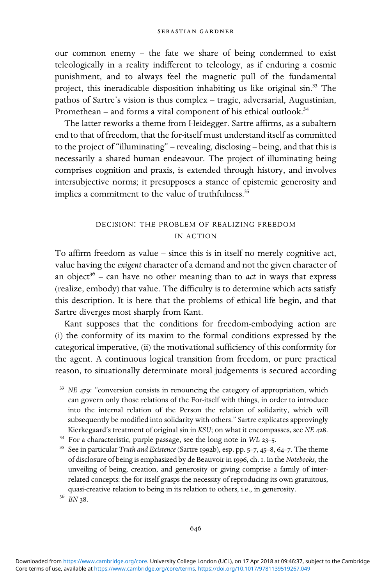our common enemy – the fate we share of being condemned to exist teleologically in a reality indifferent to teleology, as if enduring a cosmic punishment, and to always feel the magnetic pull of the fundamental project, this ineradicable disposition inhabiting us like original sin.<sup>33</sup> The pathos of Sartre's vision is thus complex – tragic, adversarial, Augustinian, Promethean – and forms a vital component of his ethical outlook.<sup>34</sup>

The latter reworks a theme from Heidegger. Sartre affirms, as a subaltern end to that of freedom, that the for-itself must understand itself as committed to the project of "illuminating" – revealing, disclosing – being, and that this is necessarily a shared human endeavour. The project of illuminating being comprises cognition and praxis, is extended through history, and involves intersubjective norms; it presupposes a stance of epistemic generosity and implies a commitment to the value of truthfulness.<sup>35</sup>

# DECISION: THE PROBLEM OF REALIZING FREEDOM IN ACTION

To affirm freedom as value – since this is in itself no merely cognitive act, value having the exigent character of a demand and not the given character of an object<sup>36</sup> – can have no other meaning than to *act* in ways that express (realize, embody) that value. The difficulty is to determine which acts satisfy this description. It is here that the problems of ethical life begin, and that Sartre diverges most sharply from Kant.

Kant supposes that the conditions for freedom-embodying action are (i) the conformity of its maxim to the formal conditions expressed by the categorical imperative, (ii) the motivational sufficiency of this conformity for the agent. A continuous logical transition from freedom, or pure practical reason, to situationally determinate moral judgements is secured according

- $33$  NE 479: "conversion consists in renouncing the category of appropriation, which can govern only those relations of the For-itself with things, in order to introduce into the internal relation of the Person the relation of solidarity, which will subsequently be modified into solidarity with others." Sartre explicates approvingly Kierkegaard's treatment of original sin in KSU; on what it encompasses, see NE 428.<br><sup>34</sup> For a characteristic, purple passage, see the long note in WL 23–5.<br><sup>35</sup> See in particular *Truth and Existence* (Sartre 1992b), esp.
- 
- of disclosure of being is emphasized by de Beauvoir in 1996, ch. 1. In the Notebooks, the unveiling of being, creation, and generosity or giving comprise a family of interrelated concepts: the for-itself grasps the necessity of reproducing its own gratuitous, quasi-creative relation to being in its relation to others, i.e., in generosity.  $^{36}$   $\,$  BN  $38.$
-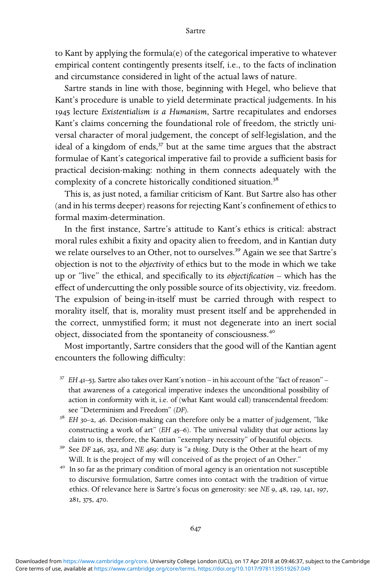to Kant by applying the formula(e) of the categorical imperative to whatever empirical content contingently presents itself, i.e., to the facts of inclination and circumstance considered in light of the actual laws of nature.

Sartre stands in line with those, beginning with Hegel, who believe that Kant's procedure is unable to yield determinate practical judgements. In his 1945 lecture Existentialism is a Humanism, Sartre recapitulates and endorses Kant's claims concerning the foundational role of freedom, the strictly universal character of moral judgement, the concept of self-legislation, and the ideal of a kingdom of ends, $37$  but at the same time argues that the abstract formulae of Kant's categorical imperative fail to provide a sufficient basis for practical decision-making: nothing in them connects adequately with the complexity of a concrete historically conditioned situation.<sup>38</sup>

This is, as just noted, a familiar criticism of Kant. But Sartre also has other (and in his terms deeper) reasons for rejecting Kant's confinement of ethics to formal maxim-determination.

In the first instance, Sartre's attitude to Kant's ethics is critical: abstract moral rules exhibit a fixity and opacity alien to freedom, and in Kantian duty we relate ourselves to an Other, not to ourselves.<sup>39</sup> Again we see that Sartre's objection is not to the objectivity of ethics but to the mode in which we take up or "live" the ethical, and specifically to its objectification – which has the effect of undercutting the only possible source of its objectivity, viz. freedom. The expulsion of being-in-itself must be carried through with respect to morality itself, that is, morality must present itself and be apprehended in the correct, unmystified form; it must not degenerate into an inert social object, dissociated from the spontaneity of consciousness.<sup>40</sup>

Most importantly, Sartre considers that the good will of the Kantian agent encounters the following difficulty:

- $37$  EH 41–53. Sartre also takes over Kant's notion in his account of the "fact of reason" that awareness of a categorical imperative indexes the unconditional possibility of action in conformity with it, i.e. of (what Kant would call) transcendental freedom: see "Determinism and Freedom" (DF).<br><sup>38</sup> EH 30–2, 46. Decision-making can therefore only be a matter of judgement, "like
- constructing a work of art"  $(EH 45-6)$ . The universal validity that our actions lay claim to is, therefore, the Kantian "exemplary necessity" of beautiful objects. <sup>39</sup> See DF <sup>246</sup>, <sup>252</sup>, and NE <sup>469</sup>: duty is "<sup>a</sup> thing. Duty is the Other at the heart of my
- 
- Will. It is the project of my will conceived of as the project of an Other." <sup>40</sup> In so far as the primary condition of moral agency is an orientation not susceptible to discursive formulation, Sartre comes into contact with the tradition of virtue ethics. Of relevance here is Sartre's focus on generosity: see NE 9, 48, 129, 141, 197, 281, 375, 470.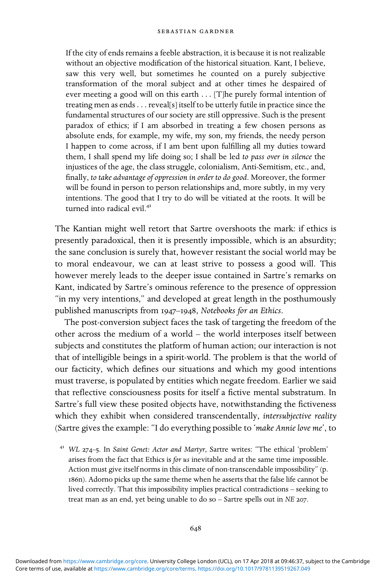If the city of ends remains a feeble abstraction, it is because it is not realizable without an objective modification of the historical situation. Kant, I believe, saw this very well, but sometimes he counted on a purely subjective transformation of the moral subject and at other times he despaired of ever meeting a good will on this earth ... [T]he purely formal intention of treating men as ends ... reveal[s] itself to be utterly futile in practice since the fundamental structures of our society are still oppressive. Such is the present paradox of ethics; if I am absorbed in treating a few chosen persons as absolute ends, for example, my wife, my son, my friends, the needy person I happen to come across, if I am bent upon fulfilling all my duties toward them, I shall spend my life doing so; I shall be led to pass over in silence the injustices of the age, the class struggle, colonialism, Anti-Semitism, etc., and, finally, to take advantage of oppression in order to do good. Moreover, the former will be found in person to person relationships and, more subtly, in my very intentions. The good that I try to do will be vitiated at the roots. It will be turned into radical evil.<sup>41</sup>

The Kantian might well retort that Sartre overshoots the mark: if ethics is presently paradoxical, then it is presently impossible, which is an absurdity; the sane conclusion is surely that, however resistant the social world may be to moral endeavour, we can at least strive to possess a good will. This however merely leads to the deeper issue contained in Sartre's remarks on Kant, indicated by Sartre's ominous reference to the presence of oppression "in my very intentions," and developed at great length in the posthumously published manuscripts from 1947–1948, Notebooks for an Ethics.

The post-conversion subject faces the task of targeting the freedom of the other across the medium of a world – the world interposes itself between subjects and constitutes the platform of human action; our interaction is not that of intelligible beings in a spirit-world. The problem is that the world of our facticity, which defines our situations and which my good intentions must traverse, is populated by entities which negate freedom. Earlier we said that reflective consciousness posits for itself a fictive mental substratum. In Sartre's full view these posited objects have, notwithstanding the fictiveness which they exhibit when considered transcendentally, intersubjective reality (Sartre gives the example: "I do everything possible to 'make Annie love me', to

<sup>41</sup> WL 274-5. In Saint Genet: Actor and Martyr, Sartre writes: "The ethical 'problem' arises from the fact that Ethics is for us inevitable and at the same time impossible. Action must give itself norms in this climate of non-transcendable impossibility" (p. 186n). Adorno picks up the same theme when he asserts that the false life cannot be lived correctly. That this impossibility implies practical contradictions – seeking to treat man as an end, yet being unable to do so – Sartre spells out in NE 207.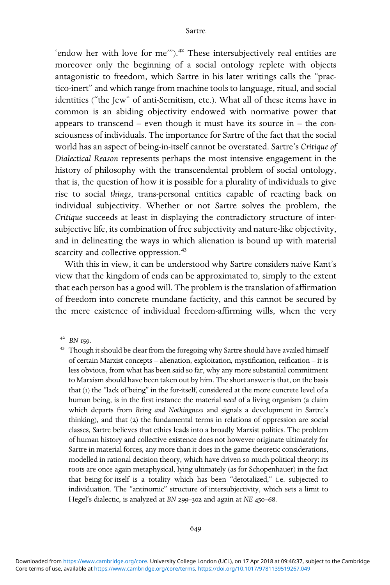'endow her with love for me'"). $42$  These intersubjectively real entities are moreover only the beginning of a social ontology replete with objects antagonistic to freedom, which Sartre in his later writings calls the "practico-inert" and which range from machine tools to language, ritual, and social identities ("the Jew" of anti-Semitism, etc.). What all of these items have in common is an abiding objectivity endowed with normative power that appears to transcend – even though it must have its source in – the consciousness of individuals. The importance for Sartre of the fact that the social world has an aspect of being-in-itself cannot be overstated. Sartre's Critique of Dialectical Reason represents perhaps the most intensive engagement in the history of philosophy with the transcendental problem of social ontology, that is, the question of how it is possible for a plurality of individuals to give rise to social things, trans-personal entities capable of reacting back on individual subjectivity. Whether or not Sartre solves the problem, the Critique succeeds at least in displaying the contradictory structure of intersubjective life, its combination of free subjectivity and nature-like objectivity, and in delineating the ways in which alienation is bound up with material scarcity and collective oppression.<sup>43</sup>

With this in view, it can be understood why Sartre considers naive Kant's view that the kingdom of ends can be approximated to, simply to the extent that each person has a good will. The problem is the translation of affirmation of freedom into concrete mundane facticity, and this cannot be secured by the mere existence of individual freedom-affirming wills, when the very

 $^{42}\,$  BN 159.  $^{43}\,$  Though it should be clear from the foregoing why Sartre should have availed himself of certain Marxist concepts – alienation, exploitation, mystification, reification – it is less obvious, from what has been said so far, why any more substantial commitment to Marxism should have been taken out by him. The short answer is that, on the basis that (1) the "lack of being" in the for-itself, considered at the more concrete level of a human being, is in the first instance the material need of a living organism (a claim which departs from Being and Nothingness and signals a development in Sartre's thinking), and that (2) the fundamental terms in relations of oppression are social classes, Sartre believes that ethics leads into a broadly Marxist politics. The problem of human history and collective existence does not however originate ultimately for Sartre in material forces, any more than it does in the game-theoretic considerations, modelled in rational decision theory, which have driven so much political theory: its roots are once again metaphysical, lying ultimately (as for Schopenhauer) in the fact that being-for-itself is a totality which has been "detotalized," i.e. subjected to individuation. The "antinomic" structure of intersubjectivity, which sets a limit to Hegel's dialectic, is analyzed at BN 299–302 and again at NE 450–68.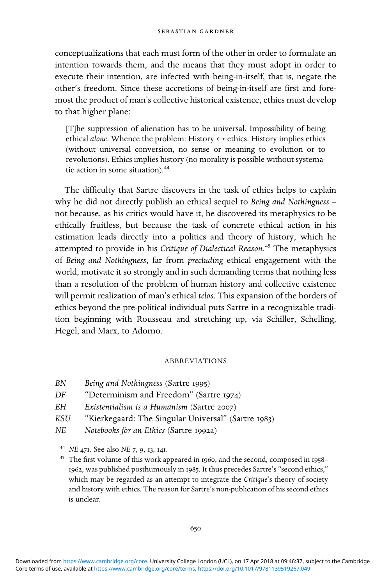conceptualizations that each must form of the other in order to formulate an intention towards them, and the means that they must adopt in order to execute their intention, are infected with being-in-itself, that is, negate the other's freedom. Since these accretions of being-in-itself are first and foremost the product of man's collective historical existence, ethics must develop to that higher plane:

[T]he suppression of alienation has to be universal. Impossibility of being ethical *alone*. Whence the problem: History  $\leftrightarrow$  ethics. History implies ethics (without universal conversion, no sense or meaning to evolution or to revolutions). Ethics implies history (no morality is possible without systematic action in some situation).<sup>44</sup>

The difficulty that Sartre discovers in the task of ethics helps to explain why he did not directly publish an ethical sequel to Being and Nothingness – not because, as his critics would have it, he discovered its metaphysics to be ethically fruitless, but because the task of concrete ethical action in his estimation leads directly into a politics and theory of history, which he attempted to provide in his Critique of Dialectical Reason. <sup>45</sup> The metaphysics of Being and Nothingness, far from precluding ethical engagement with the world, motivate it so strongly and in such demanding terms that nothing less than a resolution of the problem of human history and collective existence will permit realization of man's ethical telos. This expansion of the borders of ethics beyond the pre-political individual puts Sartre in a recognizable tradition beginning with Rousseau and stretching up, via Schiller, Schelling, Hegel, and Marx, to Adorno.

## ABBREVIATIONS

- BN Being and Nothingness (Sartre 1995)
- DF "Determinism and Freedom" (Sartre 1974)
- EH Existentialism is a Humanism (Sartre 2007)
- KSU "Kierkegaard: The Singular Universal" (Sartre 1983)
- NE Notebooks for an Ethics (Sartre 1992a)

<sup>44</sup> NE 471. See also NE 7, 9, 13, 141.<br><sup>45</sup> The first volume of this work appeared in 1960, and the second, composed in 1958– 1962, was published posthumously in 1985. It thus precedes Sartre's "second ethics," which may be regarded as an attempt to integrate the Critique's theory of society and history with ethics. The reason for Sartre's non-publication of his second ethics is unclear.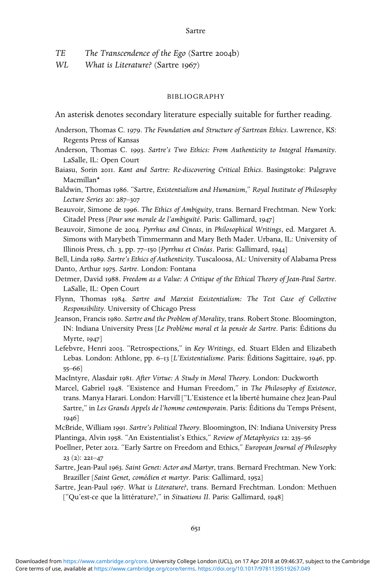#### Sartre

TE The Transcendence of the Ego (Sartre 2004b)

WL What is Literature? (Sartre 1967)

#### BIBLIOGRAPHY

An asterisk denotes secondary literature especially suitable for further reading.

- Anderson, Thomas C. 1979. The Foundation and Structure of Sartrean Ethics. Lawrence, KS: Regents Press of Kansas
- Anderson, Thomas C. 1993. Sartre's Two Ethics: From Authenticity to Integral Humanity. LaSalle, IL: Open Court
- Baiasu, Sorin 2011. Kant and Sartre: Re-discovering Critical Ethics. Basingstoke: Palgrave Macmillan\*
- Baldwin, Thomas 1986. "Sartre, Existentialism and Humanism," Royal Institute of Philosophy Lecture Series 20: 287–307
- Beauvoir, Simone de 1996. The Ethics of Ambiguity, trans. Bernard Frechtman. New York: Citadel Press [Pour une morale de l'ambiguïté. Paris: Gallimard, 1947]
- Beauvoir, Simone de 2004. Pyrrhus and Cineas, in Philosophical Writings, ed. Margaret A. Simons with Marybeth Timmermann and Mary Beth Mader. Urbana, IL: University of Illinois Press, ch. 3, pp. 77–150 [Pyrrhus et Cinéas. Paris: Gallimard, 1944]

Bell, Linda 1989. Sartre's Ethics of Authenticity. Tuscaloosa, AL: University of Alabama Press Danto, Arthur 1975. Sartre. London: Fontana

- Detmer, David 1988. Freedom as a Value: A Critique of the Ethical Theory of Jean-Paul Sartre. LaSalle, IL: Open Court
- Flynn, Thomas 1984. Sartre and Marxist Existentialism: The Test Case of Collective Responsibility. University of Chicago Press
- Jeanson, Francis 1980. Sartre and the Problem of Morality, trans. Robert Stone. Bloomington, IN: Indiana University Press [Le Problème moral et la pensée de Sartre. Paris: Éditions du Myrte, 1947]
- Lefebvre, Henri 2003. "Retrospections," in Key Writings, ed. Stuart Elden and Elizabeth Lebas. London: Athlone, pp. 6–13 [L'Existentialisme. Paris: Éditions Sagittaire, 1946, pp. 55–66]
- MacIntyre, Alasdair 1981. After Virtue: A Study in Moral Theory. London: Duckworth
- Marcel, Gabriel 1948. "Existence and Human Freedom," in The Philosophy of Existence, trans. Manya Harari. London: Harvill ["L'Existence et la liberté humaine chez Jean-Paul Sartre," in Les Grands Appels de l'homme contemporain. Paris: Éditions du Temps Présent, 1946]

McBride, William 1991. Sartre's Political Theory. Bloomington, IN: Indiana University Press Plantinga, Alvin 1958. "An Existentialist's Ethics," Review of Metaphysics 12: 235–56

- Poellner, Peter 2012. "Early Sartre on Freedom and Ethics," European Journal of Philosophy 23 (2): 221–47
- Sartre, Jean-Paul 1963. Saint Genet: Actor and Martyr, trans. Bernard Frechtman. New York: Braziller [Saint Genet, comédien et martyr. Paris: Gallimard, 1952]

Sartre, Jean-Paul 1967. What is Literature?, trans. Bernard Frechtman. London: Methuen ["Qu'est-ce que la littérature?," in Situations II. Paris: Gallimard, 1948]